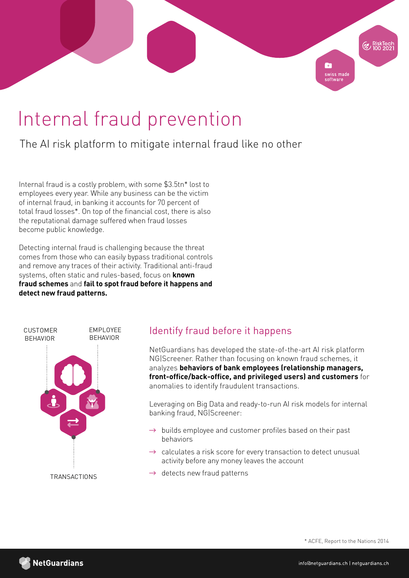

# Internal fraud prevention

# The AI risk platform to mitigate internal fraud like no other

Internal fraud is a costly problem, with some \$3.5tn\* lost to employees every year. While any business can be the victim of internal fraud, in banking it accounts for 70 percent of total fraud losses\*. On top of the financial cost, there is also the reputational damage suffered when fraud losses become public knowledge.

Detecting internal fraud is challenging because the threat comes from those who can easily bypass traditional controls and remove any traces of their activity. Traditional anti-fraud systems, often static and rules-based, focus on **known fraud schemes** and **fail to spot fraud before it happens and detect new fraud patterns.**



# Identify fraud before it happens

NetGuardians has developed the state-of-the-art AI risk platform NG|Screener. Rather than focusing on known fraud schemes, it analyzes **behaviors of bank employees (relationship managers, front-office/back-office, and privileged users) and customers** for anomalies to identify fraudulent transactions.

Leveraging on Big Data and ready-to-run AI risk models for internal banking fraud, NG|Screener:

- $\rightarrow$  builds employee and customer profiles based on their past behaviors
- $\rightarrow$  calculates a risk score for every transaction to detect unusual activity before any money leaves the account
- $\rightarrow$  detects new fraud patterns

\* ACFE, Report to the Nations 2014